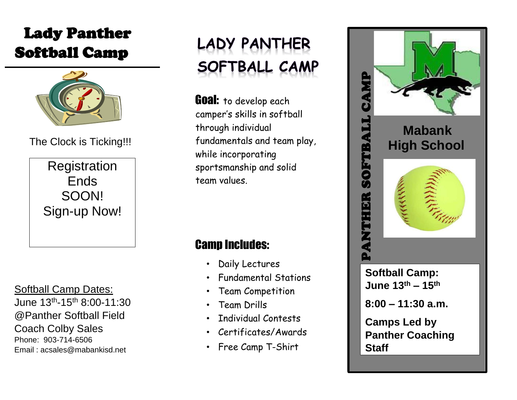# Lady Panther Softball Camp



The Clock is Ticking!!!

**Registration** Ends SOON! Sign-up Now!

Softball Camp Dates: June 13th -15th 8:00-11:30 @Panther Softball Field Coach Colby Sales Phone: 903-714-6506 Email : acsales@mabankisd.net



**Goal:** to develop each camper's skills in softball through individual fundamentals and team play, while incorporating sportsmanship and solid team values.

## Camp Includes:

- Daily Lectures
- Fundamental Stations
- Team Competition
- Team Drills
- Individual Contests
- Certificates/Awards
- Free Camp T-Shirt



**Camps Led by Panther Coaching Staff**